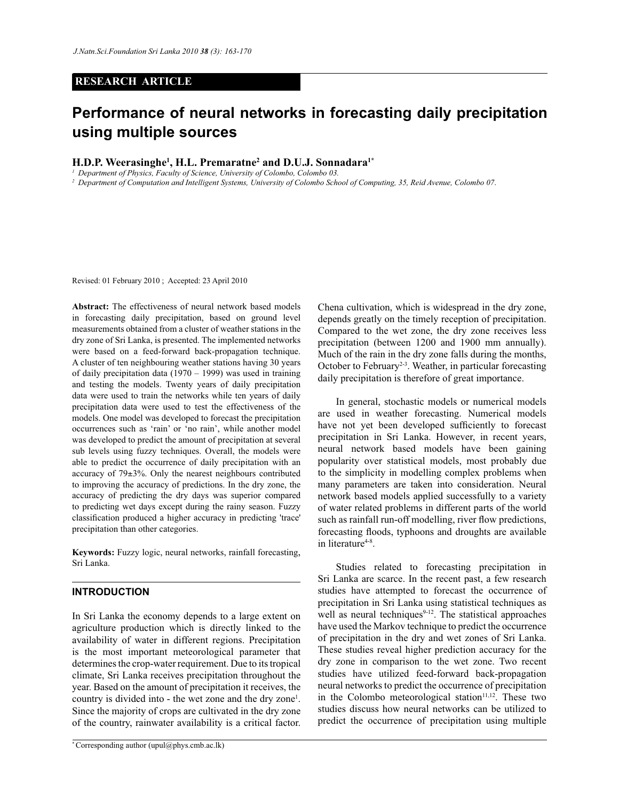## **RESEARCH ARTICLE**

# **Performance of neural networks in forecasting daily precipitation using multiple sources**

## **H.D.P. Weerasinghe<sup>1</sup> , H.L. Premaratne<sup>2</sup> and D.U.J. Sonnadara1\***

*<sup>1</sup>Department of Physics, Faculty of Science, University of Colombo, Colombo 03.*

*2 Department of Computation and Intelligent Systems, University of Colombo School of Computing, 35, Reid Avenue, Colombo 07*.

Revised: 01 February 2010 ; Accepted: 23 April 2010

**Abstract:** The effectiveness of neural network based models in forecasting daily precipitation, based on ground level measurements obtained from a cluster of weather stations in the dry zone of Sri Lanka, is presented. The implemented networks were based on a feed-forward back-propagation technique. A cluster of ten neighbouring weather stations having 30 years of daily precipitation data (1970 – 1999) was used in training and testing the models. Twenty years of daily precipitation data were used to train the networks while ten years of daily precipitation data were used to test the effectiveness of the models. One model was developed to forecast the precipitation occurrences such as 'rain' or 'no rain', while another model was developed to predict the amount of precipitation at several sub levels using fuzzy techniques. Overall, the models were able to predict the occurrence of daily precipitation with an accuracy of 79±3%. Only the nearest neighbours contributed to improving the accuracy of predictions. In the dry zone, the accuracy of predicting the dry days was superior compared to predicting wet days except during the rainy season. Fuzzy classification produced a higher accuracy in predicting 'trace' precipitation than other categories.

**Keywords:** Fuzzy logic, neural networks, rainfall forecasting, Sri Lanka.

## **INTRODUCTION**

In Sri Lanka the economy depends to a large extent on agriculture production which is directly linked to the availability of water in different regions. Precipitation is the most important meteorological parameter that determines the crop-water requirement. Due to its tropical climate, Sri Lanka receives precipitation throughout the year. Based on the amount of precipitation it receives, the country is divided into - the wet zone and the dry zone<sup>1</sup>. Since the majority of crops are cultivated in the dry zone of the country, rainwater availability is a critical factor.

Chena cultivation, which is widespread in the dry zone, depends greatly on the timely reception of precipitation. Compared to the wet zone, the dry zone receives less precipitation (between 1200 and 1900 mm annually). Much of the rain in the dry zone falls during the months, October to February<sup>2-3</sup>. Weather, in particular forecasting daily precipitation is therefore of great importance.

 In general, stochastic models or numerical models are used in weather forecasting. Numerical models have not yet been developed sufficiently to forecast precipitation in Sri Lanka. However, in recent years, neural network based models have been gaining popularity over statistical models, most probably due to the simplicity in modelling complex problems when many parameters are taken into consideration. Neural network based models applied successfully to a variety of water related problems in different parts of the world such as rainfall run-off modelling, river flow predictions, forecasting floods, typhoons and droughts are available in literature<sup>4-8</sup>.

 Studies related to forecasting precipitation in Sri Lanka are scarce. In the recent past, a few research studies have attempted to forecast the occurrence of precipitation in Sri Lanka using statistical techniques as well as neural techniques $9-12$ . The statistical approaches have used the Markov technique to predict the occurrence of precipitation in the dry and wet zones of Sri Lanka. These studies reveal higher prediction accuracy for the dry zone in comparison to the wet zone. Two recent studies have utilized feed-forward back-propagation neural networks to predict the occurrence of precipitation in the Colombo meteorological station<sup>11,12</sup>. These two studies discuss how neural networks can be utilized to predict the occurrence of precipitation using multiple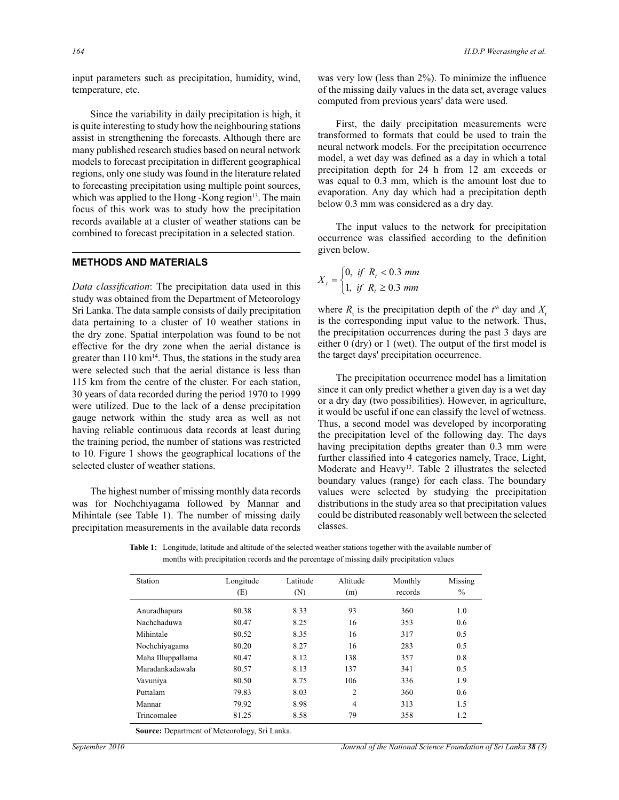input parameters such as precipitation, humidity, wind, temperature, etc.

 Since the variability in daily precipitation is high, it is quite interesting to study how the neighbouring stations assist in strengthening the forecasts. Although there are many published research studies based on neural network models to forecast precipitation in different geographical regions, only one study was found in the literature related to forecasting precipitation using multiple point sources, which was applied to the Hong -Kong region $13$ . The main focus of this work was to study how the precipitation records available at a cluster of weather stations can be combined to forecast precipitation in a selected station.

## **METHODS AND MATERIALS**

*Data classification*: The precipitation data used in this study was obtained from the Department of Meteorology Sri Lanka. The data sample consists of daily precipitation data pertaining to a cluster of 10 weather stations in the dry zone. Spatial interpolation was found to be not effective for the dry zone when the aerial distance is greater than  $110 \text{ km}^{14}$ . Thus, the stations in the study area were selected such that the aerial distance is less than 115 km from the centre of the cluster. For each station, 30 years of data recorded during the period 1970 to 1999 were utilized. Due to the lack of a dense precipitation gauge network within the study area as well as not having reliable continuous data records at least during the training period, the number of stations was restricted to 10. Figure 1 shows the geographical locations of the selected cluster of weather stations.

 The highest number of missing monthly data records was for Nochchiyagama followed by Mannar and Mihintale (see Table 1). The number of missing daily precipitation measurements in the available data records

was very low (less than 2%). To minimize the influence of the missing daily values in the data set, average values computed from previous years' data were used.

 First, the daily precipitation measurements were transformed to formats that could be used to train the neural network models. For the precipitation occurrence model, a wet day was defined as a day in which a total precipitation depth for 24 h from 12 am exceeds or was equal to 0.3 mm, which is the amount lost due to evaporation. Any day which had a precipitation depth below 0.3 mm was considered as a dry day.

 The input values to the network for precipitation occurrence was classified according to the definition given below.

$$
X_{t} = \begin{cases} 0, & \text{if } R_{t} < 0.3 \text{ mm} \\ 1, & \text{if } R_{t} \ge 0.3 \text{ mm} \end{cases}
$$

where  $R_t$  is the precipitation depth of the  $t^{th}$  day and  $X_t$ is the corresponding input value to the network. Thus, the precipitation occurrences during the past 3 days are either 0 (dry) or 1 (wet). The output of the first model is the target days' precipitation occurrence.

 The precipitation occurrence model has a limitation since it can only predict whether a given day is a wet day or a dry day (two possibilities). However, in agriculture, it would be useful if one can classify the level of wetness. Thus, a second model was developed by incorporating the precipitation level of the following day. The days having precipitation depths greater than 0.3 mm were further classified into 4 categories namely, Trace, Light, Moderate and Heavy<sup>13</sup>. Table 2 illustrates the selected boundary values (range) for each class. The boundary values were selected by studying the precipitation distributions in the study area so that precipitation values could be distributed reasonably well between the selected classes.

**Table 1:** Longitude, latitude and altitude of the selected weather stations together with the available number of months with precipitation records and the percentage of missing daily precipitation values

| Station           | Longitude | Latitude | Altitude       | Monthly | Missing       |
|-------------------|-----------|----------|----------------|---------|---------------|
|                   | (E)       | (N)      | (m)            | records | $\frac{0}{0}$ |
| Anuradhapura      | 80.38     | 8.33     | 93             | 360     | 1.0           |
| Nachchaduwa       | 80.47     | 8.25     | 16             | 353     | 0.6           |
| Mihintale         | 80.52     | 8.35     | 16             | 317     | 0.5           |
| Nochchiyagama     | 80.20     | 8.27     | 16             | 283     | 0.5           |
| Maha Illuppallama | 80.47     | 8.12     | 138            | 357     | 0.8           |
| Maradankadawala   | 80.57     | 8.13     | 137            | 341     | 0.5           |
| Vavuniya          | 80.50     | 8.75     | 106            | 336     | 1.9           |
| Puttalam          | 79.83     | 8.03     | $\overline{2}$ | 360     | 0.6           |
| Mannar            | 79.92     | 8.98     | 4              | 313     | 1.5           |
| Trincomalee       | 81.25     | 8.58     | 79             | 358     | 1.2           |

**Source:** Department of Meteorology, Sri Lanka.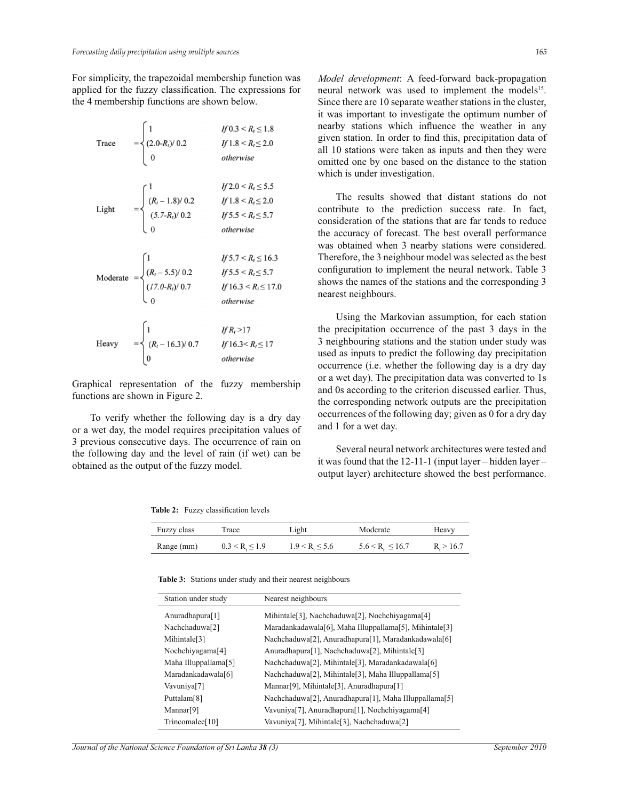For simplicity, the trapezoidal membership function was applied for the fuzzy classification. The expressions for the 4 membership functions are shown below.

| Trace | $=\begin{cases} 1 \\ (2.0-R_i)/0.2 \\ 0 \end{cases}$                                                                                                                                | If $0.3 < R_{\iota} \leq 1.8$<br>If $1.8 \le R_i \le 2.0$<br>otherwise                       |
|-------|-------------------------------------------------------------------------------------------------------------------------------------------------------------------------------------|----------------------------------------------------------------------------------------------|
| Light | $= \begin{cases} 1 & y \neq 0 \text{ and } y = 0.5 \\ (R_t - 1.8) / 0.2 & If 1.8 < R_t \leq 2.0 \\ (5.7 - R_t) / 0.2 & If 5.5 < R_t \leq 5.7 \end{cases}$                           | $If 2.0 < R_i \leq 5.5$<br>otherwise                                                         |
|       | Moderate $= \begin{cases} 1 & \text{if } 5.1 < R_t \leq 10. \\ (R_t - 5.5) / 0.2 & \text{if } 5.5 < R_t \leq 5.7 \\ (17.0 - R_t) / 0.7 & \text{if } 16.3 < R_t \leq 17 \end{cases}$ | If $5.7 < R$ <sub>I</sub> $\leq 16.3$<br>If $16.3 < R$ <sub>I</sub> $\leq 17.0$<br>otherwise |
|       | Heavy $= \begin{cases} 1 & \text{if } R_l > 17 \\ (R_l - 16.3) / 0.7 & \text{if } 16.3 < R_l \le 17 \\ 0 & \text{otherwise} \end{cases}$                                            | If $R_i > 17$<br>otherwise                                                                   |

Graphical representation of the fuzzy membership functions are shown in Figure 2.

 To verify whether the following day is a dry day or a wet day, the model requires precipitation values of 3 previous consecutive days. The occurrence of rain on the following day and the level of rain (if wet) can be obtained as the output of the fuzzy model.

**Table 2:** Fuzzy classification levels

*Model development*: A feed-forward back-propagation neural network was used to implement the models<sup>15</sup>. Since there are 10 separate weather stations in the cluster, it was important to investigate the optimum number of nearby stations which influence the weather in any given station. In order to find this, precipitation data of all 10 stations were taken as inputs and then they were omitted one by one based on the distance to the station which is under investigation.

 The results showed that distant stations do not contribute to the prediction success rate. In fact, consideration of the stations that are far tends to reduce the accuracy of forecast. The best overall performance was obtained when 3 nearby stations were considered. Therefore, the 3 neighbour model was selected as the best configuration to implement the neural network. Table 3 shows the names of the stations and the corresponding 3 nearest neighbours.

 Using the Markovian assumption, for each station the precipitation occurrence of the past 3 days in the 3 neighbouring stations and the station under study was used as inputs to predict the following day precipitation occurrence (i.e. whether the following day is a dry day or a wet day). The precipitation data was converted to 1s and 0s according to the criterion discussed earlier. Thus, the corresponding network outputs are the precipitation occurrences of the following day; given as 0 for a dry day and 1 for a wet day.

 Several neural network architectures were tested and it was found that the 12-11-1 (input layer – hidden layer – output layer) architecture showed the best performance.

| Fuzzy class | Trace             | Light              | Moderate                   | Heavy    |
|-------------|-------------------|--------------------|----------------------------|----------|
| Range (mm)  | $0.3 < R \le 1.9$ | $1.9 < R \leq 5.6$ | $5.6 < R_{\rm g} \le 16.7$ | R > 16.7 |

**Table 3:** Stations under study and their nearest neighbours

| Station under study         | Nearest neighbours                                                                          |
|-----------------------------|---------------------------------------------------------------------------------------------|
| Anuradhapura[1]             | Mihintale <sup>[3]</sup> , Nachchaduwa <sup>[2]</sup> , Nochchiyagama <sup>[4]</sup>        |
| Nachchaduwa <sup>[2]</sup>  | Maradankadawala[6], Maha Illuppallama[5], Mihintale[3]                                      |
| Mihintale <sup>[3]</sup>    | Nachchaduwa[2], Anuradhapura[1], Maradankadawala[6]                                         |
| Nochchiyagama[4]            | Anuradhapura[1], Nachchaduwa[2], Mihintale[3]                                               |
| Maha Illuppallama[5]        | Nachchaduwa <sup>[2]</sup> , Mihintale <sup>[3]</sup> , Maradankadawala <sup>[6]</sup>      |
| Maradankadawala[6]          | Nachchaduwa[2], Mihintale[3], Maha Illuppallama[5]                                          |
| Vavuniya[7]                 | Mannar <sup>[9]</sup> , Mihintale <sup>[3]</sup> , Anuradhapura <sup>[1]</sup>              |
| Puttalam[8]                 | Nachchaduwa <sup>[2]</sup> , Anuradhapura <sup>[1]</sup> , Maha Illuppallama <sup>[5]</sup> |
| Mannar <sup>[9]</sup>       | Vavuniya[7], Anuradhapura[1], Nochchiyagama[4]                                              |
| Trincomalee <sup>[10]</sup> | Vavuniya[7], Mihintale[3], Nachchaduwa[2]                                                   |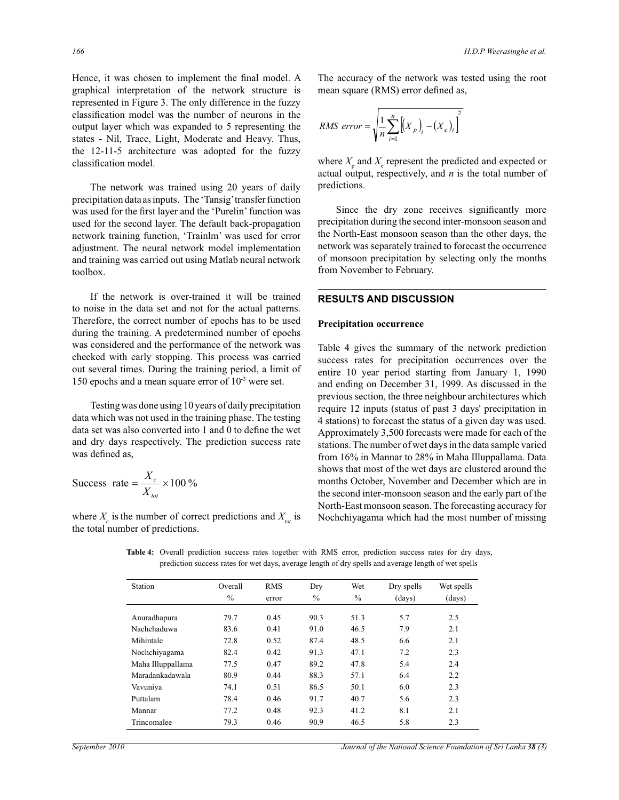Hence, it was chosen to implement the final model. A graphical interpretation of the network structure is represented in Figure 3. The only difference in the fuzzy classification model was the number of neurons in the output layer which was expanded to 5 representing the states - Nil, Trace, Light, Moderate and Heavy. Thus, the 12-11-5 architecture was adopted for the fuzzy classification model.

 The network was trained using 20 years of daily precipitation data as inputs. The 'Tansig' transfer function was used for the first layer and the 'Purelin' function was used for the second layer. The default back-propagation network training function, 'Trainlm' was used for error adjustment. The neural network model implementation and training was carried out using Matlab neural network toolbox.

 If the network is over-trained it will be trained to noise in the data set and not for the actual patterns. Therefore, the correct number of epochs has to be used during the training. A predetermined number of epochs was considered and the performance of the network was checked with early stopping. This process was carried out several times. During the training period, a limit of 150 epochs and a mean square error of 10-3 were set.

 Testing was done using 10 years of daily precipitation data which was not used in the training phase. The testing data set was also converted into 1 and 0 to define the wet and dry days respectively. The prediction success rate was defined as,

$$
Success rate = \frac{X_c}{X_{tot}} \times 100\%
$$

where  $X_c$  is the number of correct predictions and  $X_{tot}$  is the total number of predictions.

The accuracy of the network was tested using the root mean square (RMS) error defined as,

$$
RMS\ error = \sqrt{\frac{1}{n} \sum_{i=1}^{n} \left[ \left( X_p \right)_i - \left( X_e \right)_i \right]^2}
$$

where  $X_{\text{p}}$  and  $X_{\text{e}}$  represent the predicted and expected or actual output, respectively, and *n* is the total number of predictions.

 Since the dry zone receives significantly more precipitation during the second inter-monsoon season and the North-East monsoon season than the other days, the network was separately trained to forecast the occurrence of monsoon precipitation by selecting only the months from November to February.

# **RESULTS AND DISCUSSION**

#### **Precipitation occurrence**

Table 4 gives the summary of the network prediction success rates for precipitation occurrences over the entire 10 year period starting from January 1, 1990 and ending on December 31, 1999. As discussed in the previous section, the three neighbour architectures which require 12 inputs (status of past 3 days' precipitation in 4 stations) to forecast the status of a given day was used. Approximately 3,500 forecasts were made for each of the stations. The number of wet days in the data sample varied from 16% in Mannar to 28% in Maha Illuppallama. Data shows that most of the wet days are clustered around the months October, November and December which are in the second inter-monsoon season and the early part of the North-East monsoon season. The forecasting accuracy for Nochchiyagama which had the most number of missing

 Station Overall RMS Dry Wet Dry spells Wet spells  $\%$  error  $\%$   $\%$  (days) (days) Anuradhapura 79.7 0.45 90.3 51.3 5.7 2.5 Nachchaduwa 83.6 0.41 91.0 46.5 7.9 2.1 Mihintale 72.8 0.52 87.4 48.5 6.6 2.1 Nochchiyagama 82.4 0.42 91.3 47.1 7.2 2.3 Maha Illuppallama 77.5 0.47 89.2 47.8 5.4 2.4 Maradankadawala 80.9 0.44 88.3 57.1 6.4 2.2 Vavuniya 74.1 0.51 86.5 50.1 6.0 2.3 Puttalam 78.4 0.46 91.7 40.7 5.6 2.3 Mannar 77.2 0.48 92.3 41.2 8.1 2.1

Trincomalee 79.3 0.46 90.9 46.5 5.8 2.3

**Table 4:** Overall prediction success rates together with RMS error, prediction success rates for dry days, prediction success rates for wet days, average length of dry spells and average length of wet spells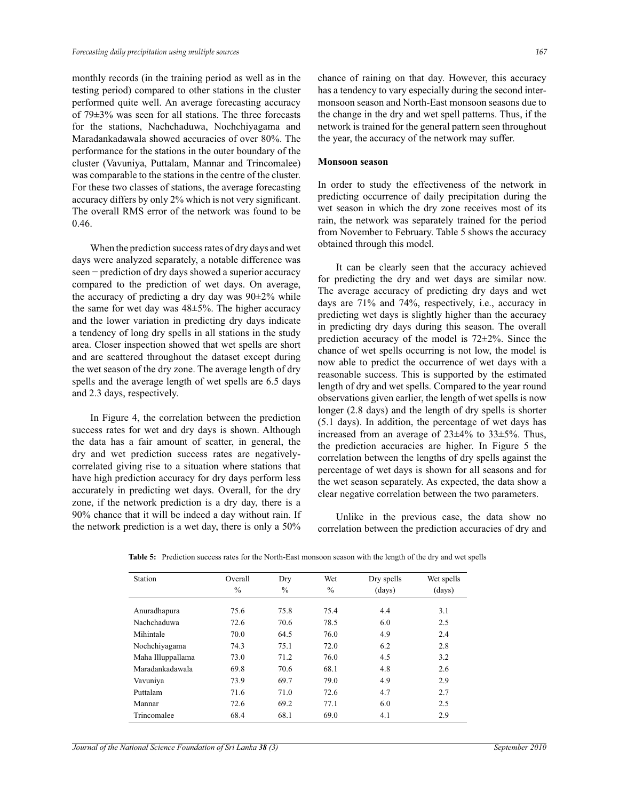monthly records (in the training period as well as in the testing period) compared to other stations in the cluster performed quite well. An average forecasting accuracy of 79**±**3% was seen for all stations. The three forecasts for the stations, Nachchaduwa, Nochchiyagama and Maradankadawala showed accuracies of over 80%. The performance for the stations in the outer boundary of the cluster (Vavuniya, Puttalam, Mannar and Trincomalee) was comparable to the stations in the centre of the cluster. For these two classes of stations, the average forecasting accuracy differs by only 2% which is not very significant. The overall RMS error of the network was found to be 0.46.

 When the prediction success rates of dry days and wet days were analyzed separately, a notable difference was seen – prediction of dry days showed a superior accuracy compared to the prediction of wet days. On average, the accuracy of predicting a dry day was  $90\pm2\%$  while the same for wet day was  $48\pm5\%$ . The higher accuracy and the lower variation in predicting dry days indicate a tendency of long dry spells in all stations in the study area. Closer inspection showed that wet spells are short and are scattered throughout the dataset except during the wet season of the dry zone. The average length of dry spells and the average length of wet spells are 6.5 days and 2.3 days, respectively.

 In Figure 4, the correlation between the prediction success rates for wet and dry days is shown. Although the data has a fair amount of scatter, in general, the dry and wet prediction success rates are negativelycorrelated giving rise to a situation where stations that have high prediction accuracy for dry days perform less accurately in predicting wet days. Overall, for the dry zone, if the network prediction is a dry day, there is a 90% chance that it will be indeed a day without rain. If the network prediction is a wet day, there is only a 50%

chance of raining on that day. However, this accuracy has a tendency to vary especially during the second intermonsoon season and North-East monsoon seasons due to the change in the dry and wet spell patterns. Thus, if the network is trained for the general pattern seen throughout the year, the accuracy of the network may suffer.

#### **Monsoon season**

In order to study the effectiveness of the network in predicting occurrence of daily precipitation during the wet season in which the dry zone receives most of its rain, the network was separately trained for the period from November to February. Table 5 shows the accuracy obtained through this model.

 It can be clearly seen that the accuracy achieved for predicting the dry and wet days are similar now. The average accuracy of predicting dry days and wet days are 71% and 74%, respectively, i.e., accuracy in predicting wet days is slightly higher than the accuracy in predicting dry days during this season. The overall prediction accuracy of the model is 72±2%. Since the chance of wet spells occurring is not low, the model is now able to predict the occurrence of wet days with a reasonable success. This is supported by the estimated length of dry and wet spells. Compared to the year round observations given earlier, the length of wet spells is now longer (2.8 days) and the length of dry spells is shorter (5.1 days). In addition, the percentage of wet days has increased from an average of 23±4% to 33±5%. Thus, the prediction accuracies are higher. In Figure 5 the correlation between the lengths of dry spells against the percentage of wet days is shown for all seasons and for the wet season separately. As expected, the data show a clear negative correlation between the two parameters.

 Unlike in the previous case, the data show no correlation between the prediction accuracies of dry and

| Station           | Overall<br>$\frac{0}{0}$ | Dry<br>$\frac{0}{0}$ | Wet<br>$\frac{0}{0}$ | Dry spells<br>(days) | Wet spells<br>(days) |
|-------------------|--------------------------|----------------------|----------------------|----------------------|----------------------|
| Anuradhapura      | 75.6                     | 75.8                 | 75.4                 | 4.4                  | 3.1                  |
| Nachchaduwa       | 72.6                     | 70.6                 | 78.5                 | 6.0                  | 2.5                  |
| Mihintale         | 70.0                     | 64.5                 | 76.0                 | 4.9                  | 2.4                  |
| Nochchiyagama     | 74.3                     | 75.1                 | 72.0                 | 6.2                  | 2.8                  |
| Maha Illuppallama | 73.0                     | 71.2                 | 76.0                 | 4.5                  | 3.2                  |
| Maradankadawala   | 69.8                     | 70.6                 | 68.1                 | 4.8                  | 2.6                  |
| Vavuniya          | 73.9                     | 69.7                 | 79.0                 | 4.9                  | 2.9                  |
| Puttalam          | 71.6                     | 71.0                 | 72.6                 | 4.7                  | 2.7                  |
| Mannar            | 72.6                     | 69.2                 | 77.1                 | 6.0                  | 2.5                  |
| Trincomalee       | 68.4                     | 68.1                 | 69.0                 | 4.1                  | 2.9                  |

**Table 5:** Prediction success rates for the North-East monsoon season with the length of the dry and wet spells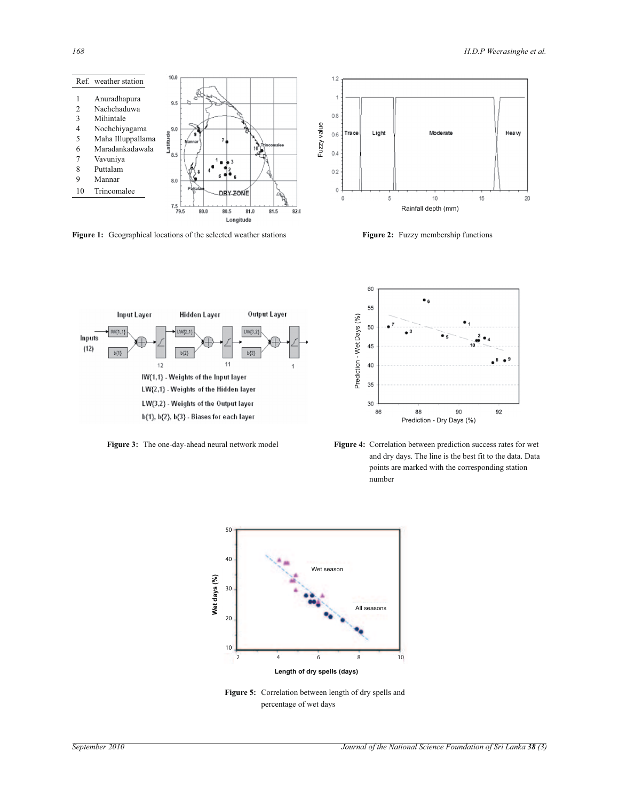

**Figure 1:** Geographical locations of the selected weather stations **Figure 2:** Fuzzy membership functions







**Figure 3:** The one-day-ahead neural network model **Figure 4:** Correlation between prediction success rates for wet and dry days. The line is the best fit to the data. Data points are marked with the corresponding station number



**Figure 5:** Correlation between length of dry spells and percentage of wet days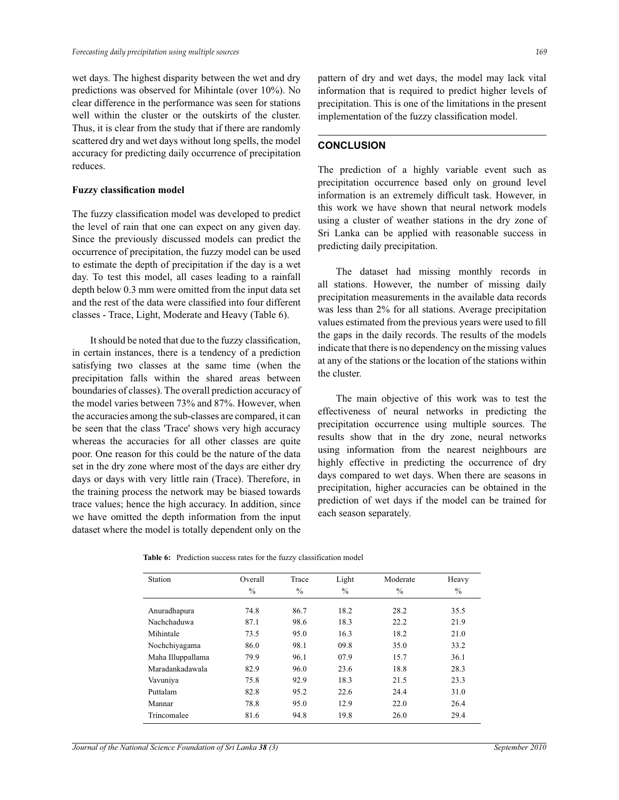wet days. The highest disparity between the wet and dry predictions was observed for Mihintale (over 10%). No clear difference in the performance was seen for stations well within the cluster or the outskirts of the cluster. Thus, it is clear from the study that if there are randomly scattered dry and wet days without long spells, the model accuracy for predicting daily occurrence of precipitation reduces.

### **Fuzzy classification model**

The fuzzy classification model was developed to predict the level of rain that one can expect on any given day. Since the previously discussed models can predict the occurrence of precipitation, the fuzzy model can be used to estimate the depth of precipitation if the day is a wet day. To test this model, all cases leading to a rainfall depth below 0.3 mm were omitted from the input data set and the rest of the data were classified into four different classes - Trace, Light, Moderate and Heavy (Table 6).

 It should be noted that due to the fuzzy classification, in certain instances, there is a tendency of a prediction satisfying two classes at the same time (when the precipitation falls within the shared areas between boundaries of classes). The overall prediction accuracy of the model varies between 73% and 87%. However, when the accuracies among the sub-classes are compared, it can be seen that the class 'Trace' shows very high accuracy whereas the accuracies for all other classes are quite poor. One reason for this could be the nature of the data set in the dry zone where most of the days are either dry days or days with very little rain (Trace). Therefore, in the training process the network may be biased towards trace values; hence the high accuracy. In addition, since we have omitted the depth information from the input dataset where the model is totally dependent only on the

pattern of dry and wet days, the model may lack vital information that is required to predict higher levels of precipitation. This is one of the limitations in the present implementation of the fuzzy classification model.

## **CONCLUSION**

The prediction of a highly variable event such as precipitation occurrence based only on ground level information is an extremely difficult task. However, in this work we have shown that neural network models using a cluster of weather stations in the dry zone of Sri Lanka can be applied with reasonable success in predicting daily precipitation.

 The dataset had missing monthly records in all stations. However, the number of missing daily precipitation measurements in the available data records was less than 2% for all stations. Average precipitation values estimated from the previous years were used to fill the gaps in the daily records. The results of the models indicate that there is no dependency on the missing values at any of the stations or the location of the stations within the cluster.

 The main objective of this work was to test the effectiveness of neural networks in predicting the precipitation occurrence using multiple sources. The results show that in the dry zone, neural networks using information from the nearest neighbours are highly effective in predicting the occurrence of dry days compared to wet days. When there are seasons in precipitation, higher accuracies can be obtained in the prediction of wet days if the model can be trained for each season separately.

|  |  |  |  |  | <b>Table 6:</b> Prediction success rates for the fuzzy classification model |  |
|--|--|--|--|--|-----------------------------------------------------------------------------|--|
|--|--|--|--|--|-----------------------------------------------------------------------------|--|

| Station           | Overall<br>$\%$ | Trace<br>$\%$ | Light<br>$\frac{0}{0}$ | Moderate<br>$\frac{0}{0}$ | Heavy<br>$\frac{0}{0}$ |
|-------------------|-----------------|---------------|------------------------|---------------------------|------------------------|
|                   |                 |               |                        |                           |                        |
| Anuradhapura      | 74.8            | 86.7          | 18.2                   | 28.2                      | 35.5                   |
| Nachchaduwa       | 87.1            | 98.6          | 18.3                   | 22.2                      | 21.9                   |
| Mihintale         | 73.5            | 95.0          | 16.3                   | 18.2                      | 21.0                   |
| Nochchiyagama     | 86.0            | 98.1          | 09.8                   | 35.0                      | 33.2                   |
| Maha Illuppallama | 79.9            | 96.1          | 07.9                   | 15.7                      | 36.1                   |
| Maradankadawala   | 82.9            | 96.0          | 23.6                   | 18.8                      | 28.3                   |
| Vavuniya          | 75.8            | 92.9          | 18.3                   | 21.5                      | 23.3                   |
| Puttalam          | 82.8            | 95.2          | 22.6                   | 24.4                      | 31.0                   |
| Mannar            | 78.8            | 95.0          | 12.9                   | 22.0                      | 26.4                   |
| Trincomalee       | 81.6            | 94.8          | 19.8                   | 26.0                      | 29.4                   |